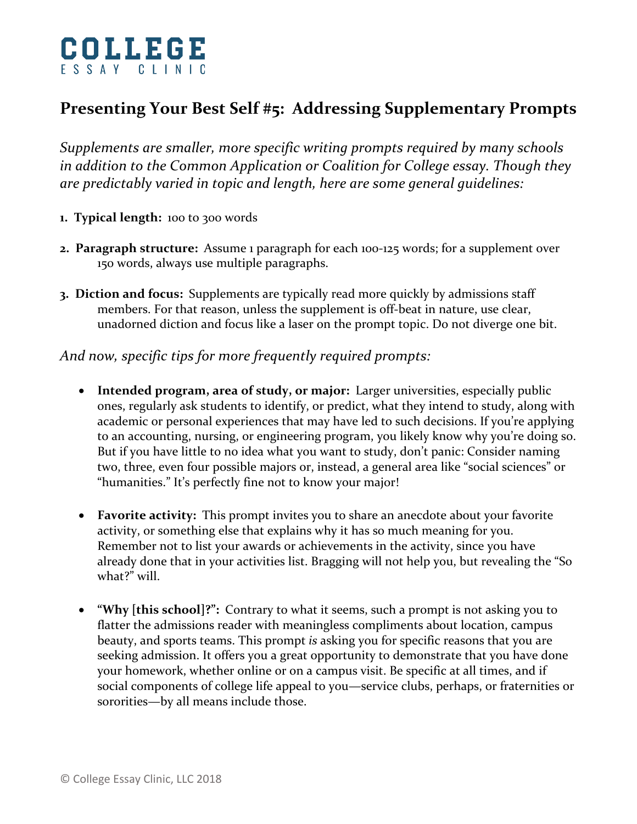

## **Presenting Your Best Self #5: Addressing Supplementary Prompts**

*Supplements are smaller, more specific writing prompts required by many schools in addition to the Common Application or Coalition for College essay. Though they are predictably varied in topic and length, here are some general guidelines:*

- **1. Typical length:** 100 to 300 words
- **2. Paragraph structure:** Assume 1 paragraph for each 100-125 words; for a supplement over 150 words, always use multiple paragraphs.
- **3. Diction and focus:** Supplements are typically read more quickly by admissions staff members. For that reason, unless the supplement is off-beat in nature, use clear, unadorned diction and focus like a laser on the prompt topic. Do not diverge one bit.

## *And now, specific tips for more frequently required prompts:*

- **Intended program, area of study, or major:** Larger universities, especially public ones, regularly ask students to identify, or predict, what they intend to study, along with academic or personal experiences that may have led to such decisions. If you're applying to an accounting, nursing, or engineering program, you likely know why you're doing so. But if you have little to no idea what you want to study, don't panic: Consider naming two, three, even four possible majors or, instead, a general area like "social sciences" or "humanities." It's perfectly fine not to know your major!
- **Favorite activity:** This prompt invites you to share an anecdote about your favorite activity, or something else that explains why it has so much meaning for you. Remember not to list your awards or achievements in the activity, since you have already done that in your activities list. Bragging will not help you, but revealing the "So what?" will.
- **"Why [this school]?":** Contrary to what it seems, such a prompt is not asking you to flatter the admissions reader with meaningless compliments about location, campus beauty, and sports teams. This prompt *is* asking you for specific reasons that you are seeking admission. It offers you a great opportunity to demonstrate that you have done your homework, whether online or on a campus visit. Be specific at all times, and if social components of college life appeal to you—service clubs, perhaps, or fraternities or sororities—by all means include those.